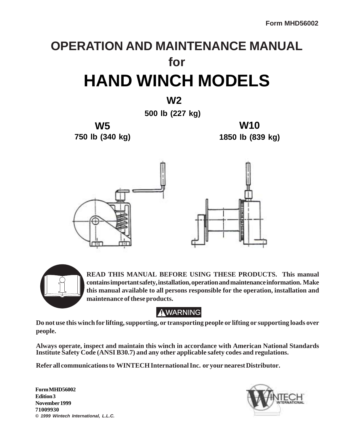# **OPERATION AND MAINTENANCE MANUAL for HAND WINCH MODELS**

 **W2**

**500 lb (227 kg)**

**W5 750 lb (340 kg)**

**W10 1850 lb (839 kg)**





**READ THIS MANUAL BEFORE USING THESE PRODUCTS. This manual contains important safety, installation, operation and maintenance information. Make this manual available to all persons responsible for the operation, installation and maintenance of these products.**

## **AWARNING**

**Do not use this winch for lifting, supporting, or transporting people or lifting or supporting loads over people.**

**Always operate, inspect and maintain this winch in accordance with American National Standards Institute Safety Code (ANSI B30.7) and any other applicable safety codes and regulations.**

**Refer all communications to WINTECH International Inc. or your nearest Distributor.**

**Form MHD56002 Edition 3 November 1999 71009930 ©** *1999 Wintech International, L.L.C.*

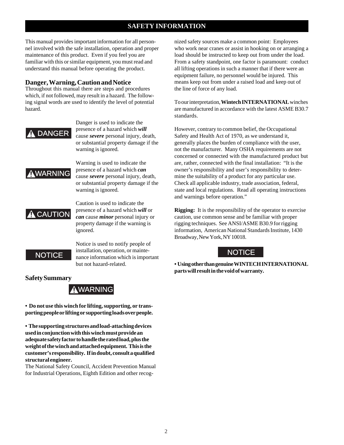#### **SAFETY INFORMATION**

This manual provides important information for all personnel involved with the safe installation, operation and proper maintenance of this product. Even if you feel you are familiar with this or similar equipment, you must read and understand this manual before operating the product.

#### **Danger, Warning, Caution and Notice**

Throughout this manual there are steps and procedures which, if not followed, may result in a hazard. The following signal words are used to identify the level of potential hazard.

### DANGER

Danger is used to indicate the presence of a hazard which *will* cause *severe* personal injury, death, or substantial property damage if the warning is ignored.

### WARNING

Warning is used to indicate the presence of a hazard which *can* cause *severe* personal injury, death, or substantial property damage if the warning is ignored.

### $\mathbf{\hat{A}}$  CAUTION

Caution is used to indicate the presence of a hazard which *will* or *can* cause *minor* personal injury or property damage if the warning is ignored.

### **NOTICE**

Notice is used to notify people of installation, operation, or maintenance information which is important but not hazard-related.

nized safety sources make a common point: Employees who work near cranes or assist in hooking on or arranging a load should be instructed to keep out from under the load. From a safety standpoint, one factor is paramount: conduct all lifting operations in such a manner that if there were an equipment failure, no personnel would be injured. This means keep out from under a raised load and keep out of the line of force of any load.

To our interpretation, **Wintech INTERNATIONAL** winches are manufactured in accordance with the latest ASME B30.7 standards.

However, contrary to common belief, the Occupational Safety and Health Act of 1970, as we understand it, generally places the burden of compliance with the user, not the manufacturer. Many OSHA requirements are not concerned or connected with the manufactured product but are, rather, connected with the final installation: "It is the owner's responsibility and user's responsibility to determine the suitability of a product for any particular use. Check all applicable industry, trade association, federal, state and local regulations. Read all operating instructions and warnings before operation."

**Rigging:** It is the responsibility of the operator to exercise caution, use common sense and be familiar with proper rigging techniques. See ANSI/ASME B30.9 for rigging information, American National Standards Institute, 1430 Broadway, New York, NY 10018.

### **NOTICE**

**• Using other than genuine WINTECH INTERNATIONAL parts will result in the void of warranty.**

#### **Safety Summary**

### WARNING

**• Do not use this winch for lifting, supporting, or transporting people or lifting or supporting loads over people.**

**• The supporting structures and load-attaching devices used in conjunction with this winch must provide an adequate safety factor to handle the rated load, plus the weight of the winch and attached equipment. This is the customer's responsibility. If in doubt, consult a qualified structural engineer.**

The National Safety Council, Accident Prevention Manual for Industrial Operations, Eighth Edition and other recog-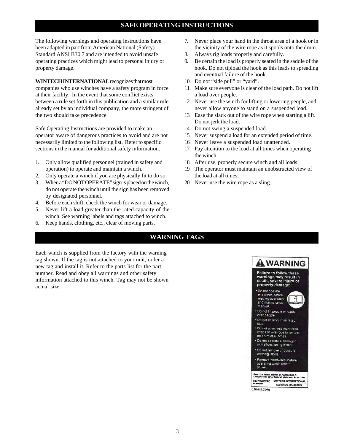#### **SAFE OPERATING INSTRUCTIONS**

The following warnings and operating instructions have been adapted in part from American National (Safety) Standard ANSI B30.7 and are intended to avoid unsafe operating practices which might lead to personal injury or property damage.

**WINTECH INTERNATIONAL** recognizes that most companies who use winches have a safety program in force at their facility. In the event that some conflict exists between a rule set forth in this publication and a similar rule already set by an individual company, the more stringent of the two should take precedence.

Safe Operating Instructions are provided to make an operator aware of dangerous practices to avoid and are not necessarily limited to the following list. Refer to specific sections in the manual for additional safety information.

- 1. Only allow qualified personnel (trained in safety and operation) to operate and maintain a winch.
- 2. Only operate a winch if you are physically fit to do so.
- 3. When a "DO NOT OPERATE" sign is placed on the winch, do not operate the winch until the sign has been removed by designated personnel.
- 4. Before each shift, check the winch for wear or damage.
- 5. Never lift a load greater than the rated capacity of the winch. See warning labels and tags attached to winch.
- 6. Keep hands, clothing, etc., clear of moving parts.
- 7. Never place your hand in the throat area of a hook or in the vicinity of the wire rope as it spools onto the drum.
- 8. Always rig loads properly and carefully.
- 9. Be certain the load is properly seated in the saddle of the hook. Do not tipload the hook as this leads to spreading and eventual failure of the hook.
- 10. Do not "side pull" or "yard".
- 11. Make sure everyone is clear of the load path. Do not lift a load over people.
- 12. Never use the winch for lifting or lowering people, and never allow anyone to stand on a suspended load.
- 13. Ease the slack out of the wire rope when starting a lift. Do not jerk the load.
- 14. Do not swing a suspended load.
- 15. Never suspend a load for an extended period of time.
- 16. Never leave a suspended load unattended.
- 17. Pay attention to the load at all times when operating the winch.
- 18. After use, properly secure winch and all loads.
- 19. The operator must maintain an unobstructed view of the load at all times.
- 20. Never use the wire rope as a sling.

#### **WARNING TAGS**

Each winch is supplied from the factory with the warning tag shown. If the tag is not attached to your unit, order a new tag and install it. Refer to the parts list for the part number. Read and obey all warnings and other safety information attached to this winch. Tag may not be shown actual size.

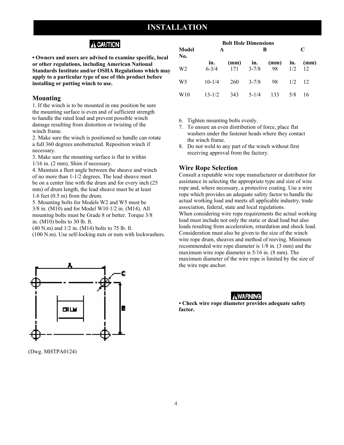### **INSTALLATION**

### A CAUTION

**• Owners and users are advised to examine specific, local or other regulations, including American National Standards Institute and/or OSHA Regulations which may apply to a particular type of use of this product before installing or putting winch to use.** 

#### **Mounting**

WARNING CAUTION

1. If the winch is to be mounted in one position be sure the mounting surface is even and of sufficient strength to handle the rated load and prevent possible winch damage resulting from distortion or twisting of the winch frame.

2. Make sure the winch is positioned so handle can rotate a full 360 degrees unobstructed. Reposition winch if necessary.

3. Make sure the mounting surface is flat to within 1/16 in. (2 mm). Shim if necessary.

4. Maintain a fleet angle between the sheave and winch of no more than 1-1/2 degrees. The lead sheave must be on a center line with the drum and for every inch (25 mm) of drum length, the lead sheave must be at least 1.6 feet (0.5 m) from the drum.

5. Mounting bolts for Models W2 and W5 must be 3/8 in. (M10) and for Model W10 1/2 in. (M14). All mounting bolts must be Grade 8 or better. Torque 3/8 in. (M10) bolts to 30 lb. ft.

(40 N.m) and 1/2 in. (M14) bolts to 75 lb. ft.

(100 N.m). Use self-locking nuts or nuts with lockwashers.



(Dwg. MHTPA0124)

| Model<br>No.<br>W <sub>2</sub> | <b>Bolt Hole Dimensions</b><br>A |     |           | B                           | $\mathsf{C}$ |            |
|--------------------------------|----------------------------------|-----|-----------|-----------------------------|--------------|------------|
|                                | in.<br>$6 - 3/4$                 | 171 | $3 - 7/8$ | $(mm)$ in. $(mm)$ in.<br>98 | 1/2          | (mm)<br>12 |
| W <sub>5</sub>                 | $10 - 1/4$                       | 260 | $3 - 7/8$ | 98                          | 1/2          | 12         |
| W <sub>10</sub>                | $13 - 1/2$                       | 343 | $5 - 1/4$ | 133                         | 5/8          | 16         |

- 6. Tighten mounting bolts evenly.
- 7. To ensure an even distribution of force, place flat washers under the fastener heads where they contact the winch frame.
- 8. Do not weld to any part of the winch without first receiving approval from the factory.

#### **Wire Rope Selection**

Consult a reputable wire rope manufacturer or distributor for assistance in selecting the appropriate type and size of wire rope and, where necessary, a protective coating. Use a wire rope which provides an adequate safety factor to handle the actual working load and meets all applicable industry, trade association, federal, state and local regulations. When considering wire rope requirements the actual working load must include not only the static or dead load but also loads resulting from acceleration, retardation and shock load. Consideration must also be given to the size of the winch wire rope drum, sheaves and method of reeving. Minimum recommended wire rope diameter is 1/8 in. (3 mm) and the maximum wire rope diameter is 5/16 in. (8 mm). The maximum diameter of the wire rope is limited by the size of the wire rope anchor.

#### **AWARNING**

**• Check wire rope diameter provides adequate safety factor.**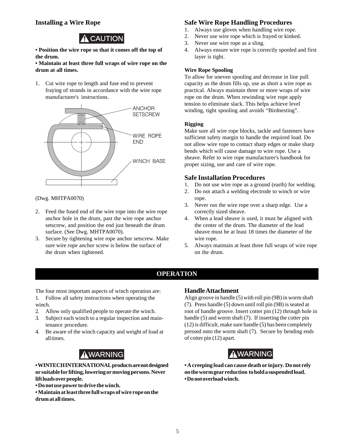#### **Installing a Wire Rope**

## $\hat{\mathbf{A}}$  CAUTION

**• Position the wire rope so that it comes off the top of the drum.**

**• Maintain at least three full wraps of wire rope on the drum at all times.**

1. Cut wire rope to length and fuse end to prevent fraying of strands in accordance with the wire rope manufacturer's instructions.



(Dwg. MHTPA0070)

- 2. Feed the fused end of the wire rope into the wire rope anchor hole in the drum, past the wire rope anchor setscrew, and position the end just beneath the drum surface. (See Dwg. MHTPA0070).
- 3. Secure by tightening wire rope anchor setscrew. Make sure wire rope anchor screw is below the surface of the drum when tightened.

#### **Safe Wire Rope Handling Procedures**

- 1. Always use gloves when handling wire rope.
- 2. Never use wire rope which is frayed or kinked.
- 3. Never use wire rope as a sling.
- 4. Always ensure wire rope is correctly spooled and first layer is tight.

#### **Wire Rope Spooling**

To allow for uneven spooling and decrease in line pull capacity as the drum fills up, use as short a wire rope as practical. Always maintain three or more wraps of wire rope on the drum. When rewinding wire rope apply tension to eliminate slack. This helps achieve level winding, tight spooling and avoids "Birdnesting".

#### **Rigging**

Make sure all wire rope blocks, tackle and fasteners have sufficient safety margin to handle the required load. Do not allow wire rope to contact sharp edges or make sharp bends which will cause damage to wire rope. Use a sheave. Refer to wire rope manufacturer's handbook for proper sizing, use and care of wire rope.

#### **Safe Installation Procedures**

- 1. Do not use wire rope as a ground (earth) for welding.
- 2. Do not attach a welding electrode to winch or wire rope.
- 3. Never run the wire rope over a sharp edge. Use a correctly sized sheave.
- 4. When a lead sheave is used, it must be aligned with the center of the drum. The diameter of the lead sheave must be at least 18 times the diameter of the wire rope.
- 5. Always maintain at least three full wraps of wire rope on the drum.

#### **OPERATION**

The four most important aspects of winch operation are: 1. Follow all safety instructions when operating the

- winch.
- 2. Allow only qualified people to operate the winch.
- 3. Subject each winch to a regular inspection and maintenance procedure.
- 4. Be aware of the winch capacity and weight of load at all times.

**• WINTECH INTERNATIONAL products are not designed or suitable for lifting, lowering or moving persons. Never lift loads over people.**

**• Do not use power to drive the winch.**

**• Maintain at least three full wraps of wire rope on the drum at all times.**

#### **Handle Attachment**

Align groove in handle (5) with roll pin (9B) in worm shaft (7). Press handle (5) down until roll pin (9B) is seated at root of handle groove. Insert cotter pin (12) through hole in handle (5) and worm shaft (7). If inserting the cotter pin (12) is difficult, make sure handle (5) has been completely pressed onto the worm shaft (7). Secure by bending ends of cotter pin (12) apart.



**• A creeping load can cause death or injury. Do not rely on the worm gear reduction to hold a suspended load. • Do not overload winch.**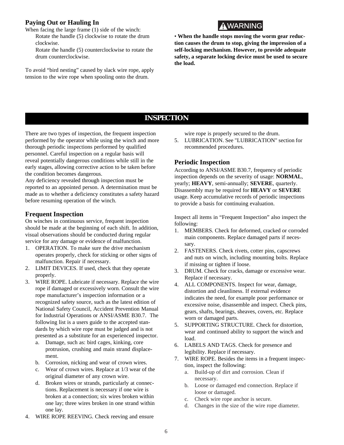#### **Paying Out or Hauling In**

When facing the large frame (1) side of the winch: Rotate the handle (5) clockwise to rotate the drum

clockwise.

Rotate the handle (5) counterclockwise to rotate the drum counterclockwise.

To avoid "bird nesting" caused by slack wire rope, apply tension to the wire rope when spooling onto the drum.



• **When the handle stops moving the worm gear reduction causes the drum to stop, giving the impression of a self-locking mechanism. However, to provide adequate safety, a separate locking device must be used to secure the load.**

#### **INSPECTION**

There are two types of inspection, the frequent inspection performed by the operator while using the winch and more thorough periodic inspections performed by qualified personnel. Careful inspection on a regular basis will reveal potentially dangerous conditions while still in the early stages, allowing corrective action to be taken before the condition becomes dangerous.

Any deficiency revealed through inspection must be reported to an appointed person. A determination must be made as to whether a deficiency constitutes a safety hazard before resuming operation of the winch.

#### **Frequent Inspection**

On winches in continuous service, frequent inspection should be made at the beginning of each shift. In addition, visual observations should be conducted during regular service for any damage or evidence of malfunction.

- 1. OPERATION. To make sure the drive mechanism operates properly, check for sticking or other signs of malfunction. Repair if necessary.
- 2. LIMIT DEVICES. If used, check that they operate properly.
- 3. WIRE ROPE. Lubricate if necessary. Replace the wire rope if damaged or excessively worn. Consult the wire rope manufacturer's inspection information or a recognized safety source, such as the latest edition of National Safety Council, Accident Prevention Manual for Industrial Operations or ANSI/ASME B30.7. The following list is a users guide to the accepted standards by which wire rope must be judged and is not presented as a substitute for an experienced inspector.
	- a. Damage, such as: bird cages, kinking, core protrusion, crushing and main strand displacement.
	- b. Corrosion, nicking and wear of crown wires.
	- c. Wear of crown wires. Replace at 1/3 wear of the original diameter of any crown wire.
	- d. Broken wires or strands, particularly at connections. Replacement is necessary if one wire is broken at a connection; six wires broken within one lay; three wires broken in one strand within one lay.
- 4. WIRE ROPE REEVING. Check reeving and ensure

wire rope is properly secured to the drum.

5. LUBRICATION. See "LUBRICATION" section for recommended procedures.

#### **Periodic Inspection**

According to ANSI/ASME B30.7, frequency of periodic inspection depends on the severity of usage: **NORMAL**, yearly; **HEAVY**, semi-annually; **SEVERE**, quarterly. Disassembly may be required for **HEAVY** or **SEVERE** usage. Keep accumulative records of periodic inspections to provide a basis for continuing evaluation.

Inspect all items in "Frequent Inspection" also inspect the following:

- 1. MEMBERS. Check for deformed, cracked or corroded main components. Replace damaged parts if necessary.
- 2. FASTENERS. Check rivets, cotter pins, capscrews and nuts on winch, including mounting bolts. Replace if missing or tighten if loose.
- 3. DRUM. Check for cracks, damage or excessive wear. Replace if necessary.
- 4. ALL COMPONENTS. Inspect for wear, damage, distortion and cleanliness. If external evidence indicates the need, for example poor performance or excessive noise, disassemble and inspect. Check pins, gears, shafts, bearings, sheaves, covers, etc. Replace worn or damaged parts.
- 5. SUPPORTING STRUCTURE. Check for distortion, wear and continued ability to support the winch and load.
- 6. LABELS AND TAGS. Check for presence and legibility. Replace if necessary.
- 7. WIRE ROPE. Besides the items in a frequent inspection, inspect the following:
	- a. Build-up of dirt and corrosion. Clean if necessary.
	- b. Loose or damaged end connection. Replace if loose or damaged.
	- c. Check wire rope anchor is secure.
	- d. Changes in the size of the wire rope diameter.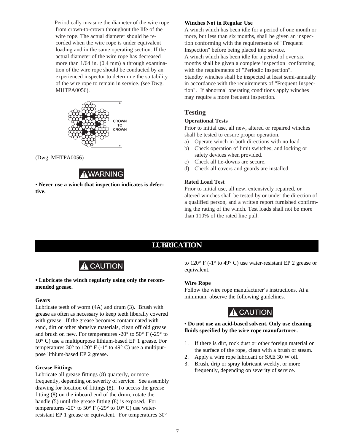Periodically measure the diameter of the wire rope from crown-to-crown throughout the life of the wire rope. The actual diameter should be recorded when the wire rope is under equivalent loading and in the same operating section. If the actual diameter of the wire rope has decreased more than 1/64 in. (0.4 mm) a through examination of the wire rope should be conducted by an experienced inspector to determine the suitability of the wire rope to remain in service. (see Dwg. MHTPA0056).



(Dwg. MHTPA0056)

### **AWARNING**

• **Never use a winch that inspection indicates is defective.**

#### **Winches Not in Regular Use**

A winch which has been idle for a period of one month or more, but less than six months, shall be given an inspection conforming with the requirements of "Frequent Inspection" before being placed into service. A winch which has been idle for a period of over six months shall be given a complete inspection conforming with the requirements of "Periodic Inspection". Standby winches shall be inspected at least semi-annually in accordance with the requirements of "Frequent Inspection". If abnormal operating conditions apply winches may require a more frequent inspection.

#### **Testing**

#### **Operational Tests**

Prior to initial use, all new, altered or repaired winches shall be tested to ensure proper operation.

- a) Operate winch in both directions with no load.
- b) Check operation of limit switches, and locking or safety devices when provided.
- c) Check all tie-downs are secure.
- d) Check all covers and guards are installed.

#### **Rated Load Test**

Prior to initial use, all new, extensively repaired, or altered winches shall be tested by or under the direction of a qualified person, and a written report furnished confirming the rating of the winch. Test loads shall not be more than 110% of the rated line pull.

### **LUBRICATION**



#### **• Lubricate the winch regularly using only the recommended grease.**

#### **Gears**

Lubricate teeth of worm (4A) and drum (3). Brush with grease as often as necessary to keep teeth liberally covered with grease. If the grease becomes contaminated with sand, dirt or other abrasive materials, clean off old grease and brush on new. For temperatures -20° to 50° F (-29° to 10° C) use a multipurpose lithium-based EP 1 grease. For temperatures 30 $\degree$  to 120 $\degree$  F (-1 $\degree$  to 49 $\degree$  C) use a multipurpose lithium-based EP 2 grease.

#### **Grease Fittings**

Lubricate all grease fittings (8) quarterly, or more frequently, depending on severity of service. See assembly drawing for location of fittings (8). To access the grease fitting (8) on the inboard end of the drum, rotate the handle (5) until the grease fitting (8) is exposed. For temperatures -20 $\degree$  to 50 $\degree$  F (-29 $\degree$  to 10 $\degree$  C) use waterresistant EP 1 grease or equivalent. For temperatures 30°

to 120° F (-1° to 49° C) use water-resistant EP 2 grease or equivalent.

#### **Wire Rope**

Follow the wire rope manufacturer's instructions. At a minimum, observe the following guidelines.

### $\hat{A}$  CAUTION

#### **• Do not use an acid-based solvent. Only use cleaning fluids specified by the wire rope manufacturer.**

- 1. If there is dirt, rock dust or other foreign material on the surface of the rope, clean with a brush or steam.
- 2. Apply a wire rope lubricant or SAE 30 W oil.
- 3. Brush, drip or spray lubricant weekly, or more frequently, depending on severity of service.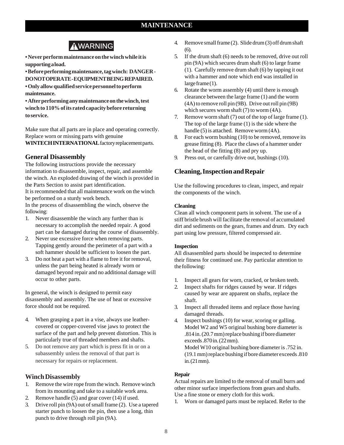### **AWARNING**

**• Never perform maintenance on the winch while it is supporting a load.**

**• Before performing maintenance, tag winch: DANGER - DO NOT OPERATE - EQUIPMENT BEING REPAIRED. • Only allow qualified service personnel to perform maintenance.**

**• After performing any maintenance on the winch, test winch to 110% of its rated capacity before returning to service.**

Make sure that all parts are in place and operating correctly. Replace worn or missing parts with genuine **WINTECH INTERNATIONAL** factory replacement parts.

#### **General Disassembly**

The following instructions provide the necessary information to disassemble, inspect, repair, and assemble the winch. An exploded drawing of the winch is provided in the Parts Section to assist part identification.

It is recommended that all maintenance work on the winch be performed on a sturdy work bench.

In the process of disassembling the winch, observe the following:

- 1. Never disassemble the winch any further than is necessary to accomplish the needed repair. A good part can be damaged during the course of disassembly.
- 2. Never use excessive force when removing parts. Tapping gently around the perimeter of a part with a soft hammer should be sufficient to loosen the part.
- 3. Do not heat a part with a flame to free it for removal, unless the part being heated is already worn or damaged beyond repair and no additional damage will occur to other parts.

In general, the winch is designed to permit easy disassembly and assembly. The use of heat or excessive force should not be required.

- 4. When grasping a part in a vise, always use leathercovered or copper-covered vise jaws to protect the surface of the part and help prevent distortion. This is particularly true of threaded members and shafts.
- 5. Do not remove any part which is press fit in or on a subassembly unless the removal of that part is necessary for repairs or replacement.

#### **Winch Disassembly**

- 1. Remove the wire rope from the winch. Remove winch from its mounting and take to a suitable work area.
- 2. Remove handle (5) and gear cover (14) if used.
- 3. Drive roll pin (9A) out of small frame (2). Use a tapered starter punch to loosen the pin, then use a long, thin punch to drive through roll pin (9A).
- 4. Remove small frame (2). Slide drum (3) off drum shaft (6).
- 5. If the drum shaft (6) needs to be removed, drive out roll pin (9A) which secures drum shaft (6) to large frame (1). Carefully remove drum shaft (6) by tapping it out with a hammer and note which end was installed in large frame (1).
- 6. Rotate the worm assembly (4) until there is enough clearance between the large frame (1) and the worm (4A) to remove roll pin (9B). Drive out roll pin (9B) which secures worm shaft (7) to worm (4A).
- 7. Remove worm shaft (7) out of the top of large frame (1). The top of the large frame (1) is the side where the handle (5) is attached. Remove worm (4A).
- 8. For each worm bushing (10) to be removed, remove its grease fitting (8). Place the claws of a hammer under the head of the fitting (8) and pry up.
- 9. Press out, or carefully drive out, bushings (10).

#### **Cleaning, Inspection and Repair**

Use the following procedures to clean, inspect, and repair the components of the winch.

#### **Cleaning**

Clean all winch component parts in solvent. The use of a stiff bristle brush will facilitate the removal of accumulated dirt and sediments on the gears, frames and drum. Dry each part using low pressure, filtered compressed air.

#### **Inspection**

All disassembled parts should be inspected to determine their fitness for continued use. Pay particular attention to the following:

- 1. Inspect all gears for worn, cracked, or broken teeth.
- 2. Inspect shafts for ridges caused by wear. If ridges caused by wear are apparent on shafts, replace the shaft.
- 3. Inspect all threaded items and replace those having damaged threads.
- 4. Inspect bushings (10) for wear, scoring or galling. Model W2 and W5 original bushing bore diameter is .814 in. (20.7 mm) replace bushing if bore diameter exceeds .870 in. (22 mm). Model W10 original bushing bore diameter is .752 in. (19.1 mm) replace bushing if bore diameter exceeds .810 in. (21 mm).

#### **Repair**

Actual repairs are limited to the removal of small burrs and other minor surface imperfections from gears and shafts. Use a fine stone or emery cloth for this work.

1. Worn or damaged parts must be replaced. Refer to the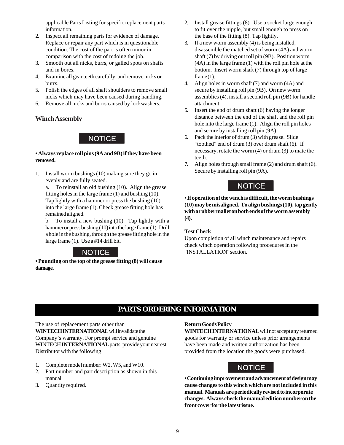applicable Parts Listing for specific replacement parts information.

- 2. Inspect all remaining parts for evidence of damage. Replace or repair any part which is in questionable condition. The cost of the part is often minor in comparison with the cost of redoing the job.
- 3. Smooth out all nicks, burrs, or galled spots on shafts and in bores.
- 4. Examine all gear teeth carefully, and remove nicks or burrs.
- 5. Polish the edges of all shaft shoulders to remove small nicks which may have been caused during handling.
- 6. Remove all nicks and burrs caused by lockwashers.

#### **Winch Assembly**

#### N NOTICE

#### **• Always replace roll pins (9A and 9B) if they have been removed.**

1. Install worm bushings (10) making sure they go in evenly and are fully seated.

a. To reinstall an old bushing (10). Align the grease fitting holes in the large frame (1) and bushing (10). Tap lightly with a hammer or press the bushing (10) into the large frame (1). Check grease fitting hole has remained aligned.

b. To install a new bushing (10). Tap lightly with a hammer or press bushing (10) into the large frame (1). Drill a hole in the bushing, through the grease fitting hole in the large frame (1). Use a #14 drill bit.



**• Pounding on the top of the grease fitting (8) will cause damage.**

- 2. Install grease fittings (8). Use a socket large enough to fit over the nipple, but small enough to press on the base of the fitting (8). Tap lightly.
- 3. If a new worm assembly (4) is being installed, disassemble the matched set of worm (4A) and worm shaft (7) by driving out roll pin (9B). Position worm (4A) in the large frame (1) with the roll pin hole at the bottom. Insert worm shaft (7) through top of large  $frame(1)$ .
- 4. Align holes in worm shaft (7) and worm (4A) and secure by installing roll pin (9B). On new worm assemblies (4), install a second roll pin (9B) for handle attachment.
- 5. Insert the end of drum shaft (6) having the longer distance between the end of the shaft and the roll pin hole into the large frame (1). Align the roll pin holes and secure by installing roll pin (9A).
- 6. Pack the interior of drum (3) with grease. Slide "toothed" end of drum (3) over drum shaft (6). If necessary, rotate the worm (4) or drum (3) to mate the teeth.
- 7. Align holes through small frame (2) and drum shaft (6). Secure by installing roll pin (9A).

### NOTICE NOTICE

**• If operation of the winch is difficult, the worm bushings (10) may be misaligned. To align bushings (10), tap gently with a rubber mallet on both ends of the worm assembly (4).**

#### **Test Check**

Upon completion of all winch maintenance and repairs check winch operation following procedures in the "INSTALLATION" section.

### **PARTS ORDERING INFORMATION**

The use of replacement parts other than **WINTECH INTERNATIONAL** will invalidate the Company's warranty. For prompt service and genuine WINTECH **INTERNATIONAL** parts, provide your nearest Distributor with the following:

- 1. Complete model number: W2, W5, and W10.
- 2. Part number and part description as shown in this manual.
- 3. Quantity required.

#### **Return Goods Policy**

**WINTECH INTERNATIONAL** will not accept any returned goods for warranty or service unless prior arrangements have been made and written authorization has been provided from the location the goods were purchased.



**• Continuing improvement and advancement of design may cause changes to this winch which are not included in this manual. Manuals are periodically revised to incorporate changes. Always check the manual edition number on the front cover for the latest issue.**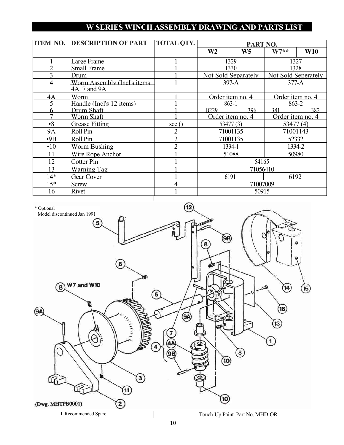### **W SERIES WINCH ASSEMBLY DRAWING AND PARTS LIST**

| <b>ITEM NO.</b> | <b>DESCRIPTION OF PART</b>                  | <b>TOTAL QTY.</b> | PART NO.            |                |                     |            |  |
|-----------------|---------------------------------------------|-------------------|---------------------|----------------|---------------------|------------|--|
|                 |                                             |                   | W <sub>2</sub>      | W <sub>5</sub> | $W7**$              | <b>W10</b> |  |
|                 | Large Frame                                 |                   | 1329                |                | 1327                |            |  |
| $\overline{2}$  | <b>Small Frame</b>                          |                   | 1330                |                | 1328                |            |  |
| 3               | Drum                                        |                   | Not Sold Separately |                | Not Sold Seperately |            |  |
| 4               | Worm Assembly (Incl's items<br>4A. 7 and 9A |                   | $397-A$             |                | $377-A$             |            |  |
| 4A              | Worm                                        |                   | Order item no. 4    |                | Order item no. 4    |            |  |
| 5               | Handle (Incl's 12 items)                    |                   | $863 - 1$           |                | $863 - 2$           |            |  |
| 6               | Drum Shaft                                  |                   | <b>B229</b>         | 396            | 381                 | 382        |  |
| 7               | Worm Shaft                                  |                   | Order item no. 4    |                | Order item no. 4    |            |  |
| $\cdot$ 8       | <b>Grease Fitting</b>                       | see (             | 53477(3)            |                | 53477(4)            |            |  |
| <b>9A</b>       | Roll Pin                                    | $\overline{2}$    | 71001135            |                | 71001143            |            |  |
| $-9B$           | Roll Pin                                    | $\overline{2}$    | 71001135            |                | 52332               |            |  |
| $\cdot$ 10      | Worm Bushing                                | $\overline{2}$    | 1334-1              |                | 1334-2              |            |  |
| 11              | Wire Rope Anchor                            |                   | 51088               |                | 50980               |            |  |
| 12              | <b>Cotter Pin</b>                           |                   | 54165               |                |                     |            |  |
| 13              | <b>Warning Tag</b>                          |                   | 71056410            |                |                     |            |  |
| $14*$           | Gear Cover                                  |                   | 6191                |                | 6192                |            |  |
| $15*$           | <b>Screw</b>                                | $\overline{4}$    | 71007009            |                |                     |            |  |
| 16              | Rivet                                       | $\mathbf{1}$      | 50915               |                |                     |            |  |

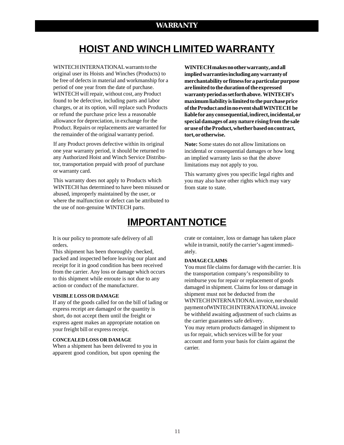### **HOIST AND WINCH LIMITED WARRANTY**

WINTECH INTERNATIONAL warrants to the original user its Hoists and Winches (Products) to be free of defects in material and workmanship for a period of one year from the date of purchase. WINTECH will repair, without cost, any Product found to be defective, including parts and labor charges, or at its option, will replace such Products or refund the purchase price less a reasonable allowance for depreciation, in exchange for the Product. Repairs or replacements are warranted for the remainder of the original warranty period.

If any Product proves defective within its original one year warranty period, it should be returned to any Authorized Hoist and Winch Service Distributor, transportation prepaid with proof of purchase or warranty card.

This warranty does not apply to Products which WINTECH has determined to have been misused or abused, improperly maintained by the user, or where the malfunction or defect can be attributed to the use of non-genuine WINTECH parts.

**WINTECH makes no other warranty, and all implied warranties including any warranty of merchantability or fitness for a particular purpose are limited to the duration of the expressed warranty period as set forth above. WINTECH's maximum liability is limited to the purchase price of the Product and in no event shall WINTECH be liable for any consequential, indirect, incidental, or special damages of any nature rising from the sale or use of the Product, whether based on contract, tort, or otherwise.**

**Note:** Some states do not allow limitations on incidental or consequential damages or how long an implied warranty lasts so that the above limitations may not apply to you.

This warranty gives you specific legal rights and you may also have other rights which may vary from state to state.

### **IMPORTANT NOTICE**

It is our policy to promote safe delivery of all orders.

This shipment has been thoroughly checked, packed and inspected before leaving our plant and receipt for it in good condition has been received from the carrier. Any loss or damage which occurs to this shipment while enroute is not due to any action or conduct of the manufacturer.

#### **VISIBLE LOSS OR DAMAGE**

If any of the goods called for on the bill of lading or express receipt are damaged or the quantity is short, do not accept them until the freight or express agent makes an appropriate notation on your freight bill or express receipt.

#### **CONCEALED LOSS OR DAMAGE**

When a shipment has been delivered to you in apparent good condition, but upon opening the crate or container, loss or damage has taken place while in transit, notify the carrier's agent immediately.

#### **DAMAGE CLAIMS**

You must file claims for damage with the carrier. It is the transportation company's responsibility to reimburse you for repair or replacement of goods damaged in shipment. Claims for loss or damage in shipment must not be deducted from the WINTECH INTERNATIONAL invoice, nor should payment ofWINTECH INTERNATIONAL invoice be withheld awaiting adjustment of such claims as the carrier guarantees safe delivery.

You may return products damaged in shipment to us for repair, which services will be for your account and form your basis for claim against the carrier.